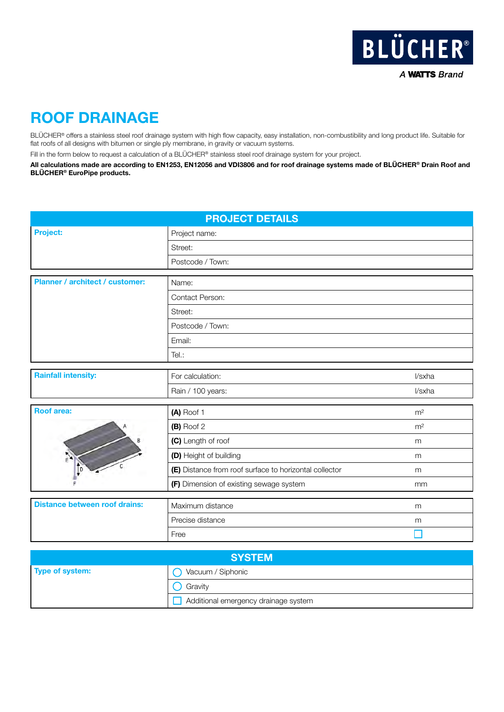

## ROOF DRAINAGE

BLÜCHER® offers a stainless steel roof drainage system with high flow capacity, easy installation, non-combustibility and long product life. Suitable for flat roofs of all designs with bitumen or single ply membrane, in gravity or vacuum systems.

Fill in the form below to request a calculation of a BLÜCHER® stainless steel roof drainage system for your project.

All calculations made are according to EN1253, EN12056 and VDI3806 and for roof drainage systems made of BLÜCHER® Drain Roof and BLÜCHER® EuroPipe products.

| <b>PROJECT DETAILS</b>                 |                                                        |                |
|----------------------------------------|--------------------------------------------------------|----------------|
| Project:                               | Project name:                                          |                |
|                                        | Street:                                                |                |
|                                        | Postcode / Town:                                       |                |
| <b>Planner / architect / customer:</b> | Name:                                                  |                |
|                                        | Contact Person:                                        |                |
|                                        |                                                        |                |
|                                        | Street:                                                |                |
|                                        | Postcode / Town:                                       |                |
|                                        | Email:                                                 |                |
|                                        | Tel.:                                                  |                |
| <b>Rainfall intensity:</b>             | For calculation:                                       | l/sxha         |
|                                        | Rain / 100 years:                                      | l/sxha         |
| <b>Roof area:</b>                      |                                                        |                |
|                                        | (A) Roof 1                                             | m <sup>2</sup> |
|                                        | (B) Roof 2                                             | m <sup>2</sup> |
|                                        | (C) Length of roof                                     | m              |
|                                        | (D) Height of building                                 | m              |
|                                        | (E) Distance from roof surface to horizontal collector | m              |
|                                        | (F) Dimension of existing sewage system                | mm             |
| <b>Distance between roof drains:</b>   | Maximum distance                                       | m              |
|                                        | Precise distance                                       | m              |
|                                        | Free                                                   |                |

| <b>SYSTEM</b>   |                                      |
|-----------------|--------------------------------------|
| Type of system: | Vacuum / Siphonic                    |
|                 | Gravity                              |
|                 | Additional emergency drainage system |